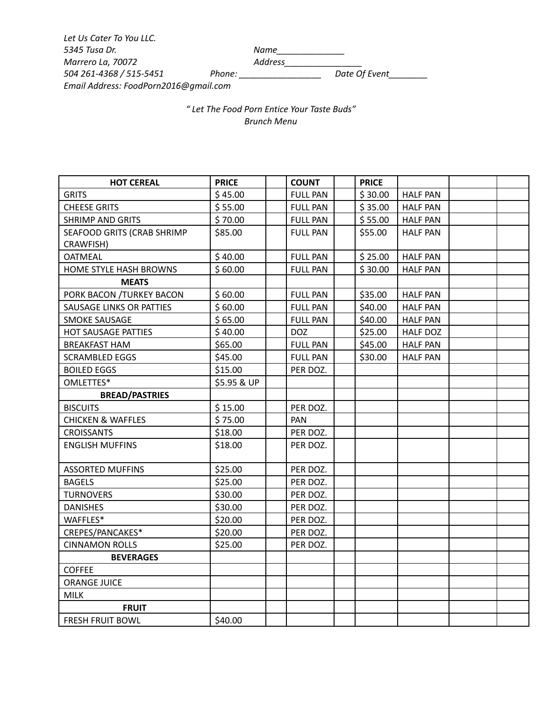*Let Us Cater To You LLC. 5345 Tusa Dr. Name\_\_\_\_\_\_\_\_\_\_\_\_\_\_ Marrero La, 70072 Address\_\_\_\_\_\_\_\_\_\_\_\_\_\_\_\_ 504 261-4368 / 515-5451 Phone: \_\_\_\_\_\_\_\_\_\_\_\_\_\_\_\_\_ Date Of Event\_\_\_\_\_\_\_\_ Email Address: FoodPorn2016@gmail.com*

*" Let The Food Porn Entice Your Taste Buds" Brunch Menu*

| <b>HOT CEREAL</b>            | <b>PRICE</b> | <b>COUNT</b>    | <b>PRICE</b> |                 |  |
|------------------------------|--------------|-----------------|--------------|-----------------|--|
| <b>GRITS</b>                 | \$45.00      | <b>FULL PAN</b> | \$30.00      | <b>HALF PAN</b> |  |
| <b>CHEESE GRITS</b>          | \$55.00      | <b>FULL PAN</b> | \$35.00      | <b>HALF PAN</b> |  |
| <b>SHRIMP AND GRITS</b>      | \$70.00      | <b>FULL PAN</b> | \$55.00      | <b>HALF PAN</b> |  |
| SEAFOOD GRITS (CRAB SHRIMP   | \$85.00      | <b>FULL PAN</b> | \$55.00      | <b>HALF PAN</b> |  |
| CRAWFISH)                    |              |                 |              |                 |  |
| <b>OATMEAL</b>               | \$40.00      | <b>FULL PAN</b> | \$25.00      | <b>HALF PAN</b> |  |
| HOME STYLE HASH BROWNS       | \$60.00      | <b>FULL PAN</b> | \$30.00      | <b>HALF PAN</b> |  |
| <b>MEATS</b>                 |              |                 |              |                 |  |
| PORK BACON /TURKEY BACON     | \$60.00      | <b>FULL PAN</b> | \$35.00      | <b>HALF PAN</b> |  |
| SAUSAGE LINKS OR PATTIES     | \$60.00      | <b>FULL PAN</b> | \$40.00      | <b>HALF PAN</b> |  |
| <b>SMOKE SAUSAGE</b>         | \$65.00      | <b>FULL PAN</b> | \$40.00      | <b>HALF PAN</b> |  |
| HOT SAUSAGE PATTIES          | \$40.00      | <b>DOZ</b>      | \$25.00      | <b>HALF DOZ</b> |  |
| <b>BREAKFAST HAM</b>         | \$65.00      | <b>FULL PAN</b> | \$45.00      | <b>HALF PAN</b> |  |
| <b>SCRAMBLED EGGS</b>        | \$45.00      | <b>FULL PAN</b> | \$30.00      | <b>HALF PAN</b> |  |
| <b>BOILED EGGS</b>           | \$15.00      | PER DOZ.        |              |                 |  |
| OMLETTES*                    | \$5.95 & UP  |                 |              |                 |  |
| <b>BREAD/PASTRIES</b>        |              |                 |              |                 |  |
| <b>BISCUITS</b>              | \$15.00      | PER DOZ.        |              |                 |  |
| <b>CHICKEN &amp; WAFFLES</b> | \$75.00      | PAN             |              |                 |  |
| <b>CROISSANTS</b>            | \$18.00      | PER DOZ.        |              |                 |  |
| <b>ENGLISH MUFFINS</b>       | \$18.00      | PER DOZ.        |              |                 |  |
|                              |              |                 |              |                 |  |
| <b>ASSORTED MUFFINS</b>      | \$25.00      | PER DOZ.        |              |                 |  |
| <b>BAGELS</b>                | \$25.00      | PER DOZ.        |              |                 |  |
| <b>TURNOVERS</b>             | \$30.00      | PER DOZ.        |              |                 |  |
| <b>DANISHES</b>              | \$30.00      | PER DOZ.        |              |                 |  |
| WAFFLES*                     | \$20.00      | PER DOZ.        |              |                 |  |
| CREPES/PANCAKES*             | \$20.00      | PER DOZ.        |              |                 |  |
| <b>CINNAMON ROLLS</b>        | \$25.00      | PER DOZ.        |              |                 |  |
| <b>BEVERAGES</b>             |              |                 |              |                 |  |
| <b>COFFEE</b>                |              |                 |              |                 |  |
| <b>ORANGE JUICE</b>          |              |                 |              |                 |  |
| <b>MILK</b>                  |              |                 |              |                 |  |
| <b>FRUIT</b>                 |              |                 |              |                 |  |
| <b>FRESH FRUIT BOWL</b>      | \$40.00      |                 |              |                 |  |